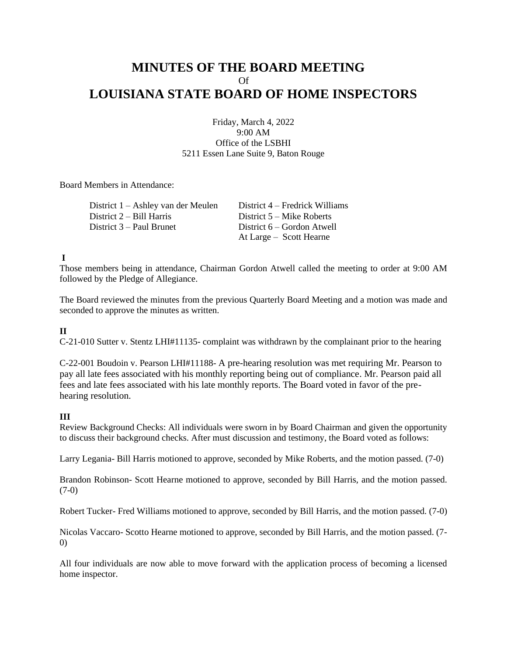# **MINUTES OF THE BOARD MEETING**  $\Omega$ **LOUISIANA STATE BOARD OF HOME INSPECTORS**

Friday, March 4, 2022 9:00 AM Office of the LSBHI 5211 Essen Lane Suite 9, Baton Rouge

Board Members in Attendance:

District 1 – Ashley van der Meulen District 4 – Fredrick Williams District 2 – Bill Harris District 5 – Mike Roberts District 3 – Paul Brunet District 6 – Gordon Atwell

At Large – Scott Hearne

# **I**

Those members being in attendance, Chairman Gordon Atwell called the meeting to order at 9:00 AM followed by the Pledge of Allegiance.

The Board reviewed the minutes from the previous Quarterly Board Meeting and a motion was made and seconded to approve the minutes as written.

### **II**

C-21-010 Sutter v. Stentz LHI#11135- complaint was withdrawn by the complainant prior to the hearing

C-22-001 Boudoin v. Pearson LHI#11188- A pre-hearing resolution was met requiring Mr. Pearson to pay all late fees associated with his monthly reporting being out of compliance. Mr. Pearson paid all fees and late fees associated with his late monthly reports. The Board voted in favor of the prehearing resolution.

### **III**

Review Background Checks: All individuals were sworn in by Board Chairman and given the opportunity to discuss their background checks. After must discussion and testimony, the Board voted as follows:

Larry Legania- Bill Harris motioned to approve, seconded by Mike Roberts, and the motion passed. (7-0)

Brandon Robinson- Scott Hearne motioned to approve, seconded by Bill Harris, and the motion passed.  $(7-0)$ 

Robert Tucker- Fred Williams motioned to approve, seconded by Bill Harris, and the motion passed. (7-0)

Nicolas Vaccaro- Scotto Hearne motioned to approve, seconded by Bill Harris, and the motion passed. (7- 0)

All four individuals are now able to move forward with the application process of becoming a licensed home inspector.